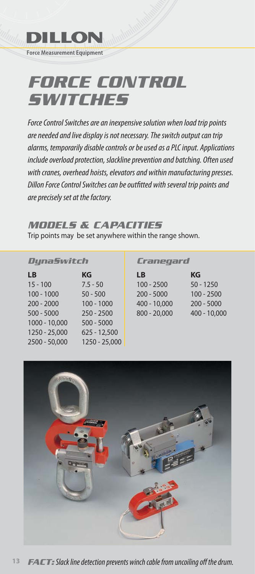

# *FORCE CONTROL SWITCHES*

Force Control Switches are an inexpensive solution when load trip points are needed and live display is not necessary. The switch output can trip alarms, temporarily disable controls or be used as a PLC input. Applications include overload protection, slackline prevention and batching. Often used with cranes, overhead hoists, elevators and within manufacturing presses. Dillon Force Control Switches can be outfitted with several trip points and are precisely set at the factory.

### *MODELS & CAPACITIES*

Trip points may be set anywhere within the range shown.

#### *DynaSwitch*

| LB            | ΚG             |
|---------------|----------------|
| $15 - 100$    | $7.5 - 50$     |
| $100 - 1000$  | $50 - 500$     |
| $200 - 2000$  | $100 - 1000$   |
| $500 - 5000$  | $250 - 2500$   |
| 1000 - 10,000 | $500 - 5000$   |
| 1250 - 25,000 | $625 - 12,500$ |
| 2500 - 50,000 | 1250 - 25,000  |
|               |                |

#### *Cranegard*

| КG           |
|--------------|
| $50 - 1250$  |
| $100 - 2500$ |
| $200 - 5000$ |
| 400 - 10,000 |
|              |